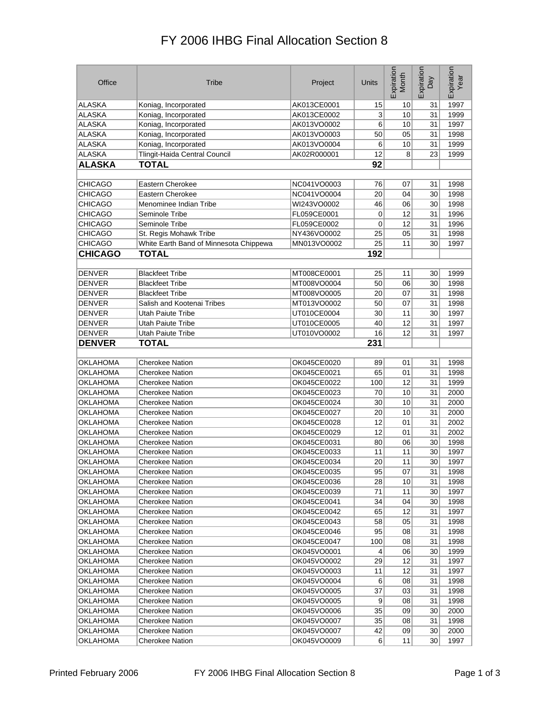## FY 2006 IHBG Final Allocation Section 8

| Office          | Tribe                                  | Project     | Units     | Expiration<br>Month | Expiration<br>Day | Expiration<br>Year |
|-----------------|----------------------------------------|-------------|-----------|---------------------|-------------------|--------------------|
| ALASKA          | Koniag, Incorporated                   | AK013CE0001 | 15        | 10                  | 31                | 1997               |
| <b>ALASKA</b>   | Koniag, Incorporated                   | AK013CE0002 | 3         | 10                  | 31                | 1999               |
| <b>ALASKA</b>   | Koniag, Incorporated                   | AK013VO0002 | 6         | 10                  | 31                | 1997               |
| <b>ALASKA</b>   | Koniag, Incorporated                   | AK013VO0003 | 50        | 05                  | 31                | 1998               |
| <b>ALASKA</b>   | Koniag, Incorporated                   | AK013VO0004 | 6         | 10                  | 31                | 1999               |
| <b>ALASKA</b>   | Tlingit-Haida Central Council          | AK02R000001 | 12        | 8                   | 23                | 1999               |
| <b>ALASKA</b>   | <b>TOTAL</b>                           |             | 92        |                     |                   |                    |
|                 |                                        |             |           |                     |                   |                    |
| <b>CHICAGO</b>  | Eastern Cherokee                       | NC041VO0003 | 76        | 07                  | 31                | 1998               |
| <b>CHICAGO</b>  | Eastern Cherokee                       | NC041VO0004 | 20        | 04                  | 30                | 1998               |
| <b>CHICAGO</b>  | Menominee Indian Tribe                 | WI243VO0002 | 46        | 06                  | 30                | 1998               |
| <b>CHICAGO</b>  | Seminole Tribe                         | FL059CE0001 | 0         | 12                  | 31                | 1996               |
| <b>CHICAGO</b>  | Seminole Tribe                         | FL059CE0002 | 0         | 12                  | 31                | 1996               |
| <b>CHICAGO</b>  | St. Regis Mohawk Tribe                 | NY436VO0002 | 25        | 05                  | 31                | 1998               |
| <b>CHICAGO</b>  | White Earth Band of Minnesota Chippewa | MN013VO0002 | 25        | 11                  | 30                | 1997               |
| <b>CHICAGO</b>  | <b>TOTAL</b>                           |             | 192       |                     |                   |                    |
|                 |                                        |             |           |                     |                   |                    |
| <b>DENVER</b>   | <b>Blackfeet Tribe</b>                 | MT008CE0001 | 25        | 11                  | 30                | 1999               |
| <b>DENVER</b>   | <b>Blackfeet Tribe</b>                 | MT008VO0004 | 50        | 06                  | 30                | 1998               |
| <b>DENVER</b>   | <b>Blackfeet Tribe</b>                 | MT008VO0005 | 20        | 07                  | 31                | 1998               |
| <b>DENVER</b>   | Salish and Kootenai Tribes             | MT013VO0002 | 50        | 07                  | 31                | 1998               |
| <b>DENVER</b>   | Utah Paiute Tribe                      | UT010CE0004 | 30        | 11                  | 30                | 1997               |
| <b>DENVER</b>   | Utah Paiute Tribe                      | UT010CE0005 | 40        | 12                  | 31                | 1997               |
| <b>DENVER</b>   | Utah Paiute Tribe                      | UT010VO0002 | 16        | 12                  | 31                | 1997               |
| <b>DENVER</b>   | <b>TOTAL</b>                           |             | 231       |                     |                   |                    |
|                 |                                        |             |           |                     |                   |                    |
| <b>OKLAHOMA</b> | <b>Cherokee Nation</b>                 | OK045CE0020 | 89        | 01                  | 31                | 1998               |
| <b>OKLAHOMA</b> | <b>Cherokee Nation</b>                 | OK045CE0021 | 65        | 01                  | 31                | 1998               |
| OKLAHOMA        | <b>Cherokee Nation</b>                 | OK045CE0022 | 100       | 12                  | 31                | 1999               |
| OKLAHOMA        | <b>Cherokee Nation</b>                 | OK045CE0023 | 70        | 10                  | 31                | 2000               |
| OKLAHOMA        | <b>Cherokee Nation</b>                 | OK045CE0024 | 30        | 10                  | 31                | 2000               |
| OKLAHOMA        | <b>Cherokee Nation</b>                 | OK045CE0027 | 20        | 10                  | 31                | 2000               |
| OKLAHOMA        | <b>Cherokee Nation</b>                 | OK045CE0028 | 12        | 01                  | 31                | 2002               |
| OKLAHOMA        | <b>Cherokee Nation</b>                 | OK045CE0029 | 12        | 01                  | 31                | 2002               |
| OKLAHOMA        | <b>Cherokee Nation</b>                 | OK045CE0031 | 80        | 06                  | 30                | 1998               |
| OKLAHOMA        | <b>Cherokee Nation</b>                 | OK045CE0033 | 11        | 11                  | 30                | 1997               |
| OKLAHOMA        | <b>Cherokee Nation</b>                 | OK045CE0034 | 20        | 11                  | 30                | 1997               |
| <b>OKLAHOMA</b> | <b>Cherokee Nation</b>                 | OK045CE0035 | 95        | 07                  | 31                | 1998               |
| <b>OKLAHOMA</b> | Cherokee Nation                        | OK045CE0036 | 28        | 10                  | 31                | 1998               |
| OKLAHOMA        | Cherokee Nation                        | OK045CE0039 | 71        | 11                  | 30 <sup>2</sup>   | 1997               |
| <b>OKLAHOMA</b> | <b>Cherokee Nation</b>                 | OK045CE0041 | 34        | 04                  | 30 <sup>2</sup>   | 1998               |
| OKLAHOMA        | Cherokee Nation                        | OK045CE0042 | 65        | 12                  | 31                | 1997               |
| OKLAHOMA        | <b>Cherokee Nation</b>                 | OK045CE0043 | 58        | 05                  | 31                | 1998               |
| <b>OKLAHOMA</b> | Cherokee Nation                        | OK045CE0046 | 95        | 08                  | 31                | 1998               |
| <b>OKLAHOMA</b> | Cherokee Nation                        | OK045CE0047 | 100       | 08                  | 31                | 1998               |
| OKLAHOMA        | Cherokee Nation                        | OK045VO0001 | 4         | 06                  | 30                | 1999               |
| <b>OKLAHOMA</b> | Cherokee Nation                        | OK045VO0002 | 29        | 12                  | 31                | 1997               |
| <b>OKLAHOMA</b> | Cherokee Nation                        | OK045VO0003 | 11        | 12                  | 31                | 1997               |
| <b>OKLAHOMA</b> | <b>Cherokee Nation</b>                 | OK045VO0004 | 6         | 08                  | 31                | 1998               |
| <b>OKLAHOMA</b> | Cherokee Nation                        | OK045VO0005 | 37        | 03                  | 31                | 1998               |
| OKLAHOMA        | Cherokee Nation                        | OK045VO0005 | 9         | 08                  | 31                | 1998               |
| <b>OKLAHOMA</b> | <b>Cherokee Nation</b>                 | OK045VO0006 | 35        | 09                  | 30                | 2000               |
| <b>OKLAHOMA</b> | Cherokee Nation                        | OK045VO0007 | 35        | 08                  | 31                | 1998               |
| <b>OKLAHOMA</b> | Cherokee Nation                        | OK045VO0007 | 42        | 09                  | 30 <sup>2</sup>   | 2000               |
| <b>OKLAHOMA</b> | Cherokee Nation                        | OK045VO0009 | $6 \vert$ | 11                  | 30 <sup>2</sup>   | 1997               |
|                 |                                        |             |           |                     |                   |                    |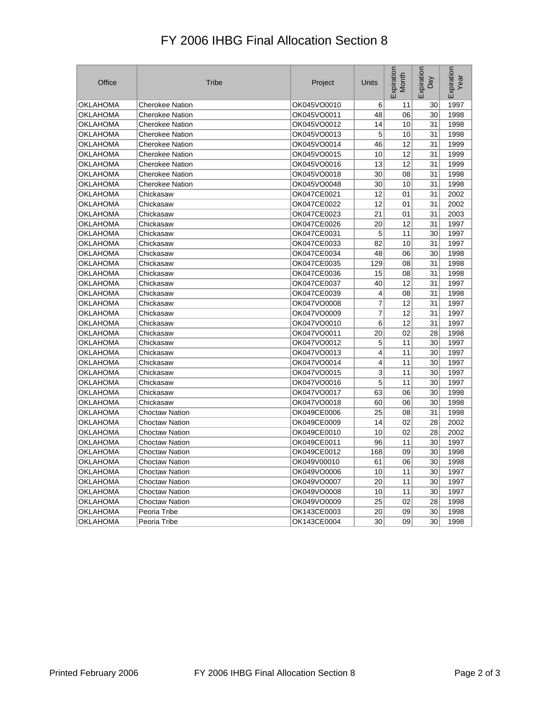## FY 2006 IHBG Final Allocation Section 8

| Office          | Tribe                  | Project     | Units | Expiration<br>Month | Expiration<br>Day | Expiration<br>Year |
|-----------------|------------------------|-------------|-------|---------------------|-------------------|--------------------|
| <b>OKLAHOMA</b> | <b>Cherokee Nation</b> | OK045VO0010 | 6     | 11                  | 30                | 1997               |
| OKLAHOMA        | <b>Cherokee Nation</b> | OK045VO0011 | 48    | 06                  | 30                | 1998               |
| OKLAHOMA        | <b>Cherokee Nation</b> | OK045VO0012 | 14    | 10                  | 31                | 1998               |
| OKLAHOMA        | <b>Cherokee Nation</b> | OK045VO0013 | 5     | 10                  | 31                | 1998               |
| OKLAHOMA        | <b>Cherokee Nation</b> | OK045VO0014 | 46    | 12                  | 31                | 1999               |
| OKLAHOMA        | <b>Cherokee Nation</b> | OK045VO0015 | 10    | 12                  | 31                | 1999               |
| OKLAHOMA        | <b>Cherokee Nation</b> | OK045VO0016 | 13    | 12                  | 31                | 1999               |
| OKLAHOMA        | <b>Cherokee Nation</b> | OK045VO0018 | 30    | 08                  | 31                | 1998               |
| OKLAHOMA        | <b>Cherokee Nation</b> | OK045VO0048 | 30    | 10                  | 31                | 1998               |
| OKLAHOMA        | Chickasaw              | OK047CE0021 | 12    | 01                  | 31                | 2002               |
| OKLAHOMA        | Chickasaw              | OK047CE0022 | 12    | 01                  | 31                | 2002               |
| OKLAHOMA        | Chickasaw              | OK047CE0023 | 21    | 01                  | 31                | 2003               |
| OKLAHOMA        | Chickasaw              | OK047CE0026 | 20    | 12                  | 31                | 1997               |
| OKLAHOMA        | Chickasaw              | OK047CE0031 | 5     | 11                  | 30                | 1997               |
| OKLAHOMA        | Chickasaw              | OK047CE0033 | 82    | 10                  | 31                | 1997               |
| OKLAHOMA        | Chickasaw              | OK047CE0034 | 48    | 06                  | 30                | 1998               |
| OKLAHOMA        | Chickasaw              | OK047CE0035 | 129   | 08                  | 31                | 1998               |
| OKLAHOMA        | Chickasaw              | OK047CE0036 | 15    | 08                  | 31                | 1998               |
| OKLAHOMA        | Chickasaw              | OK047CE0037 | 40    | 12                  | 31                | 1997               |
| OKLAHOMA        | Chickasaw              | OK047CE0039 | 4     | 08                  | 31                | 1998               |
| OKLAHOMA        | Chickasaw              | OK047VO0008 | 7     | 12                  | 31                | 1997               |
| OKLAHOMA        | Chickasaw              | OK047VO0009 | 7     | 12                  | 31                | 1997               |
| OKLAHOMA        | Chickasaw              | OK047VO0010 | 6     | 12                  | 31                | 1997               |
| OKLAHOMA        | Chickasaw              | OK047VO0011 | 20    | 02                  | 28                | 1998               |
| OKLAHOMA        | Chickasaw              | OK047VO0012 | 5     | 11                  | 30                | 1997               |
| OKLAHOMA        | Chickasaw              | OK047VO0013 | 4     | 11                  | 30                | 1997               |
| OKLAHOMA        | Chickasaw              | OK047VO0014 | 4     | 11                  | 30                | 1997               |
| OKLAHOMA        | Chickasaw              | OK047VO0015 | 3     | 11                  | 30                | 1997               |
| OKLAHOMA        | Chickasaw              | OK047VO0016 | 5     | 11                  | 30                | 1997               |
| OKLAHOMA        | Chickasaw              | OK047VO0017 | 63    | 06                  | 30                | 1998               |
| OKLAHOMA        | Chickasaw              | OK047VO0018 | 60    | 06                  | 30                | 1998               |
| OKLAHOMA        | <b>Choctaw Nation</b>  | OK049CE0006 | 25    | 08                  | 31                | 1998               |
| OKLAHOMA        | <b>Choctaw Nation</b>  | OK049CE0009 | 14    | 02                  | 28                | 2002               |
| OKLAHOMA        | <b>Choctaw Nation</b>  | OK049CE0010 | 10    | 02                  | 28                | 2002               |
| OKLAHOMA        | <b>Choctaw Nation</b>  | OK049CE0011 | 96    | 11                  | 30                | 1997               |
| OKLAHOMA        | <b>Choctaw Nation</b>  | OK049CE0012 | 168   | 09                  | 30                | 1998               |
| OKLAHOMA        | <b>Choctaw Nation</b>  | OK049V00010 | 61    | 06                  | 30                | 1998               |
| OKLAHOMA        | <b>Choctaw Nation</b>  | OK049VO0006 | 10    | 11                  | 30                | 1997               |
| OKLAHOMA        | <b>Choctaw Nation</b>  | OK049VO0007 | 20    | 11                  | 30                | 1997               |
| OKLAHOMA        | <b>Choctaw Nation</b>  | OK049VO0008 | 10    | 11                  | 30                | 1997               |
| OKLAHOMA        | <b>Choctaw Nation</b>  | OK049VO0009 | 25    | 02                  | 28                | 1998               |
| OKLAHOMA        | Peoria Tribe           | OK143CE0003 | 20    | 09                  | 30                | 1998               |
| <b>OKLAHOMA</b> | Peoria Tribe           | OK143CE0004 | 30    | 09                  | 30                | 1998               |